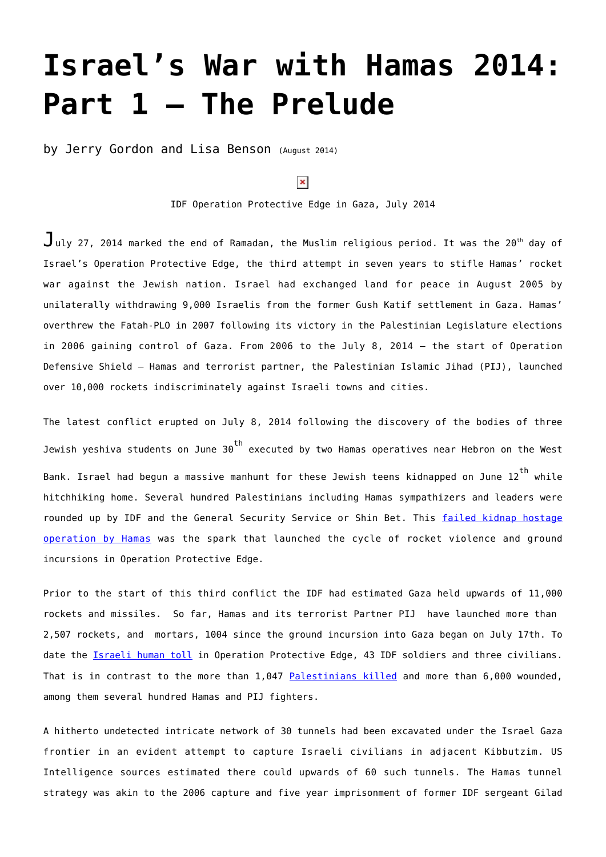## **[Israel's War with Hamas 2014:](https://www.newenglishreview.org/articles/israels-war-with-hamas-2014-part-1-the-prelude/) [Part 1 – The Prelude](https://www.newenglishreview.org/articles/israels-war-with-hamas-2014-part-1-the-prelude/)**

by Jerry Gordon and Lisa Benson (August 2014)

## $\pmb{\times}$

IDF Operation Protective Edge in Gaza, July 2014

 $J$ ulv 27, 2014 marked the end of Ramadan, the Muslim religious period. It was the 20<sup>th</sup> day of Israel's Operation Protective Edge, the third attempt in seven years to stifle Hamas' rocket war against the Jewish nation. Israel had exchanged land for peace in August 2005 by unilaterally withdrawing 9,000 Israelis from the former Gush Katif settlement in Gaza. Hamas' overthrew the Fatah-PLO in 2007 following its victory in the Palestinian Legislature elections in 2006 gaining control of Gaza. From 2006 to the July 8, 2014 – the start of Operation Defensive Shield – Hamas and terrorist partner, the Palestinian Islamic Jihad (PIJ), launched over 10,000 rockets indiscriminately against Israeli towns and cities.

The latest conflict erupted on July 8, 2014 following the discovery of the bodies of three Jewish yeshiva students on June  $30<sup>th</sup>$  executed by two Hamas operatives near Hebron on the West Bank. Israel had begun a massive manhunt for these Jewish teens kidnapped on June  $12^{th}$  while hitchhiking home. Several hundred Palestinians including Hamas sympathizers and leaders were rounded up by IDF and the General Security Service or Shin Bet. This [failed kidnap hostage](http://www.newenglishreview.org/custpage.cfm/frm/163921/sec_id/163921) [operation by Hamas](http://www.newenglishreview.org/custpage.cfm/frm/163921/sec_id/163921) was the spark that launched the cycle of rocket violence and ground incursions in Operation Protective Edge.

Prior to the start of this third conflict the IDF had estimated Gaza held upwards of 11,000 rockets and missiles. So far, Hamas and its terrorist Partner PIJ have launched more than 2,507 rockets, and mortars, 1004 since the ground incursion into Gaza began on July 17th. To date the *Israeli human toll* in Operation Protective Edge, 43 IDF soldiers and three civilians. That is in contrast to the more than 1,047 [Palestinians killed](http://www.timesofisrael.com/day-20-idf-toll-rises-to-42-hamas-breaches-truce-resumes-rocket-fire-kerry-heads-home/) and more than 6,000 wounded, among them several hundred Hamas and PIJ fighters.

A hitherto undetected intricate network of 30 tunnels had been excavated under the Israel Gaza frontier in an evident attempt to capture Israeli civilians in adjacent Kibbutzim. US Intelligence sources estimated there could upwards of 60 such tunnels. The Hamas tunnel strategy was akin to the 2006 capture and five year imprisonment of former IDF sergeant Gilad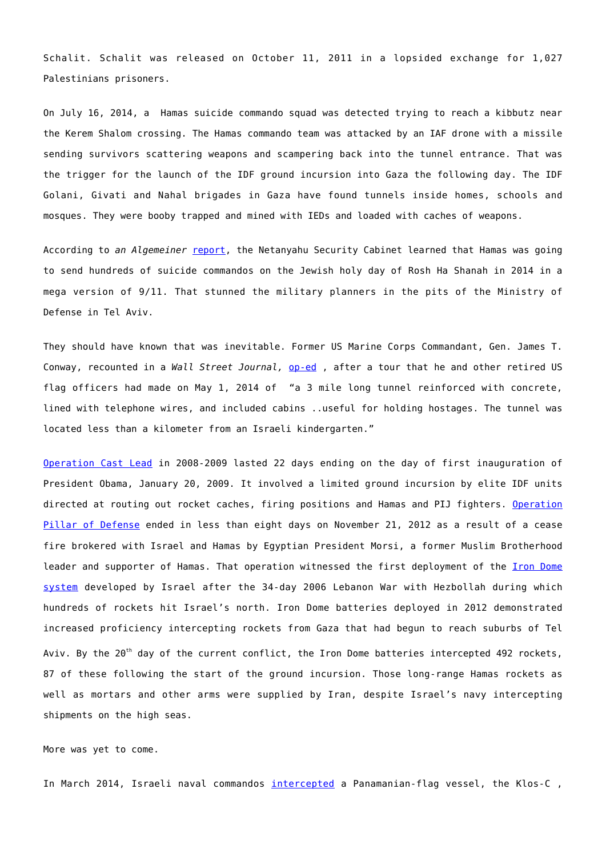Schalit. Schalit was released on October 11, 2011 in a lopsided exchange for 1,027 Palestinians prisoners.

On July 16, 2014, a Hamas suicide commando squad was detected trying to reach a kibbutz near the Kerem Shalom crossing. The Hamas commando team was attacked by an IAF drone with a missile sending survivors scattering weapons and scampering back into the tunnel entrance. That was the trigger for the launch of the IDF ground incursion into Gaza the following day. The IDF Golani, Givati and Nahal brigades in Gaza have found tunnels inside homes, schools and mosques. They were booby trapped and mined with IEDs and loaded with caches of weapons.

According to an Algemeiner [report,](http://www.algemeiner.com/2014/07/25/hamas-prepared-attack-that-would-bring-israel-to-its-knees-israeli-defense-officials-say/) the Netanyahu Security Cabinet learned that Hamas was going to send hundreds of suicide commandos on the Jewish holy day of Rosh Ha Shanah in 2014 in a mega version of 9/11. That stunned the military planners in the pits of the Ministry of Defense in Tel Aviv.

They should have known that was inevitable. Former US Marine Corps Commandant, Gen. James T. Conway, recounted in a *Wall Street Journal,* [op-ed](http://online.wsj.com/articles/james-t-conway-the-moral-chasm-between-israel-and-hamas-1406243128) , after a tour that he and other retired US flag officers had made on May 1, 2014 of "a 3 mile long tunnel reinforced with concrete, lined with telephone wires, and included cabins ..useful for holding hostages. The tunnel was located less than a kilometer from an Israeli kindergarten."

[Operation Cast Lead](http://www.globalsecurity.org/military/world/war/operation-cast-lead.htm) in 2008-2009 lasted 22 days ending on the day of first inauguration of President Obama, January 20, 2009. It involved a limited ground incursion by elite IDF units directed at routing out rocket caches, firing positions and Hamas and PIJ fighters. [Operation](http://www.globalsecurity.org/military/world/war/operation-pillar-of-defense.htm) [Pillar of Defense](http://www.globalsecurity.org/military/world/war/operation-pillar-of-defense.htm) ended in less than eight days on November 21, 2012 as a result of a cease fire brokered with Israel and Hamas by Egyptian President Morsi, a former Muslim Brotherhood leader and supporter of Hamas. That operation witnessed the first deployment of the *Iron Dome* [system](http://www.jewishvirtuallibrary.org/jsource/Peace/IronDome.html) developed by Israel after the 34-day 2006 Lebanon War with Hezbollah during which hundreds of rockets hit Israel's north. Iron Dome batteries deployed in 2012 demonstrated increased proficiency intercepting rockets from Gaza that had begun to reach suburbs of Tel Aviv. By the  $20<sup>th</sup>$  day of the current conflict, the Iron Dome batteries intercepted 492 rockets, 87 of these following the start of the ground incursion. Those long-range Hamas rockets as well as mortars and other arms were supplied by Iran, despite Israel's navy intercepting shipments on the high seas.

More was yet to come.

In March 2014, Israeli naval commandos [intercepted](http://www.newenglishreview.org/blog_direct_link.cfm/blog_id/54910/Is-Iran-Behind-the-Rocket-Blitz-on-Israel) a Panamanian-flag vessel, the Klos-C,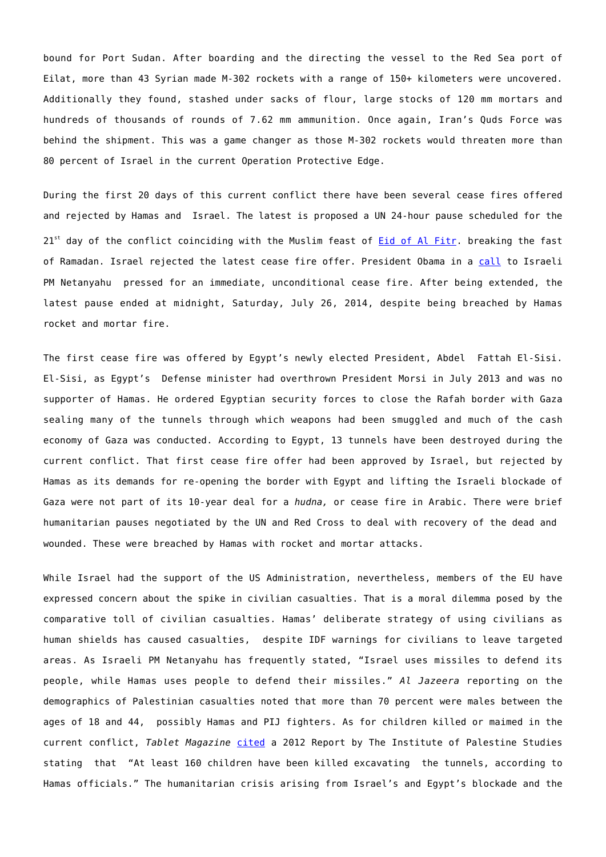bound for Port Sudan. After boarding and the directing the vessel to the Red Sea port of Eilat, more than 43 Syrian made M-302 rockets with a range of 150+ kilometers were uncovered. Additionally they found, stashed under sacks of flour, large stocks of 120 mm mortars and hundreds of thousands of rounds of 7.62 mm ammunition. Once again, Iran's Quds Force was behind the shipment. This was a game changer as those M-302 rockets would threaten more than 80 percent of Israel in the current Operation Protective Edge.

During the first 20 days of this current conflict there have been several cease fires offered and rejected by Hamas and Israel. The latest is proposed a UN 24-hour pause scheduled for the  $21<sup>st</sup>$  day of the conflict coinciding with the Muslim feast of [Eid of Al Fitr.](http://www.france24.com/en/20140727-muslims-islam-eid-al-fitr-festival-ramadan/) breaking the fast of Ramadan. Israel rejected the latest cease fire offer. President Obama in a [call](http://www.timesofisrael.com/day-20-idf-toll-rises-to-42-hamas-breaches-truce-resumes-rocket-fire-kerry-heads-home/) to Israeli PM Netanyahu pressed for an immediate, unconditional cease fire. After being extended, the latest pause ended at midnight, Saturday, July 26, 2014, despite being breached by Hamas rocket and mortar fire.

The first cease fire was offered by Egypt's newly elected President, Abdel Fattah El-Sisi. El-Sisi, as Egypt's Defense minister had overthrown President Morsi in July 2013 and was no supporter of Hamas. He ordered Egyptian security forces to close the Rafah border with Gaza sealing many of the tunnels through which weapons had been smuggled and much of the cash economy of Gaza was conducted. According to Egypt, 13 tunnels have been destroyed during the current conflict. That first cease fire offer had been approved by Israel, but rejected by Hamas as its demands for re-opening the border with Egypt and lifting the Israeli blockade of Gaza were not part of its 10-year deal for a *hudna,* or cease fire in Arabic. There were brief humanitarian pauses negotiated by the UN and Red Cross to deal with recovery of the dead and wounded. These were breached by Hamas with rocket and mortar attacks.

While Israel had the support of the US Administration, nevertheless, members of the EU have expressed concern about the spike in civilian casualties. That is a moral dilemma posed by the comparative toll of civilian casualties. Hamas' deliberate strategy of using civilians as human shields has caused casualties, despite IDF warnings for civilians to leave targeted areas. As Israeli PM Netanyahu has frequently stated, "Israel uses missiles to defend its people, while Hamas uses people to defend their missiles." *Al Jazeera* reporting on the demographics of Palestinian casualties noted that more than 70 percent were males between the ages of 18 and 44, possibly Hamas and PIJ fighters. As for children killed or maimed in the current conflict, *Tablet Magazine* [cited](http://www.tabletmag.com/scroll/180400/hamas-killed-160-palestinian-children-to-build-terror-tunnels#undefined) a 2012 Report by The Institute of Palestine Studies stating that "At least 160 children have been killed excavating the tunnels, according to Hamas officials." The humanitarian crisis arising from Israel's and Egypt's blockade and the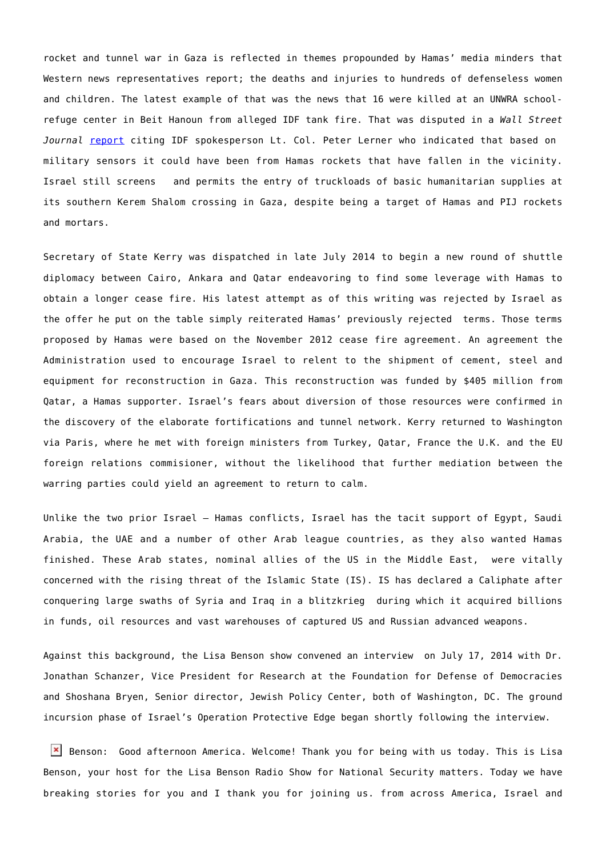rocket and tunnel war in Gaza is reflected in themes propounded by Hamas' media minders that Western news representatives report; the deaths and injuries to hundreds of defenseless women and children. The latest example of that was the news that 16 were killed at an UNWRA schoolrefuge center in Beit Hanoun from alleged IDF tank fire. That was disputed in a *Wall Street Journal* [report](http://online.wsj.com/articles/gaza-fighting-rages-amid-cease-fire-efforts-1406205780) citing IDF spokesperson Lt. Col. Peter Lerner who indicated that based on military sensors it could have been from Hamas rockets that have fallen in the vicinity. Israel still screens and permits the entry of truckloads of basic humanitarian supplies at its southern Kerem Shalom crossing in Gaza, despite being a target of Hamas and PIJ rockets and mortars.

Secretary of State Kerry was dispatched in late July 2014 to begin a new round of shuttle diplomacy between Cairo, Ankara and Qatar endeavoring to find some leverage with Hamas to obtain a longer cease fire. His latest attempt as of this writing was rejected by Israel as the offer he put on the table simply reiterated Hamas' previously rejected terms. Those terms proposed by Hamas were based on the November 2012 cease fire agreement. An agreement the Administration used to encourage Israel to relent to the shipment of cement, steel and equipment for reconstruction in Gaza. This reconstruction was funded by \$405 million from Qatar, a Hamas supporter. Israel's fears about diversion of those resources were confirmed in the discovery of the elaborate fortifications and tunnel network. Kerry returned to Washington via Paris, where he met with foreign ministers from Turkey, Qatar, France the U.K. and the EU foreign relations commisioner, without the likelihood that further mediation between the warring parties could yield an agreement to return to calm.

Unlike the two prior Israel – Hamas conflicts, Israel has the tacit support of Egypt, Saudi Arabia, the UAE and a number of other Arab league countries, as they also wanted Hamas finished. These Arab states, nominal allies of the US in the Middle East, were vitally concerned with the rising threat of the Islamic State (IS). IS has declared a Caliphate after conquering large swaths of Syria and Iraq in a blitzkrieg during which it acquired billions in funds, oil resources and vast warehouses of captured US and Russian advanced weapons.

Against this background, the Lisa Benson show convened an interview on July 17, 2014 with Dr. Jonathan Schanzer, Vice President for Research at the Foundation for Defense of Democracies and Shoshana Bryen, Senior director, Jewish Policy Center, both of Washington, DC. The ground incursion phase of Israel's Operation Protective Edge began shortly following the interview.

 $\mathbf{X}$  Benson: Good afternoon America. Welcome! Thank you for being with us today. This is Lisa Benson, your host for the Lisa Benson Radio Show for National Security matters. Today we have breaking stories for you and I thank you for joining us. from across America, Israel and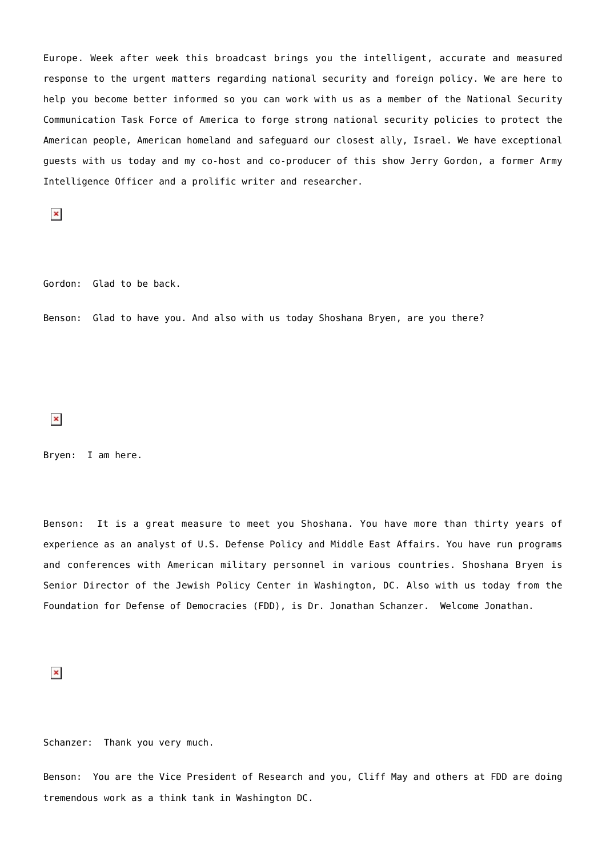Europe. Week after week this broadcast brings you the intelligent, accurate and measured response to the urgent matters regarding national security and foreign policy. We are here to help you become better informed so you can work with us as a member of the National Security Communication Task Force of America to forge strong national security policies to protect the American people, American homeland and safeguard our closest ally, Israel. We have exceptional guests with us today and my co-host and co-producer of this show Jerry Gordon, a former Army Intelligence Officer and a prolific writer and researcher.

 $\pmb{\times}$ 

Gordon: Glad to be back.

Benson: Glad to have you. And also with us today Shoshana Bryen, are you there?

 $\pmb{\times}$ 

Bryen: I am here.

Benson: It is a great measure to meet you Shoshana. You have more than thirty years of experience as an analyst of U.S. Defense Policy and Middle East Affairs. You have run programs and conferences with American military personnel in various countries. Shoshana Bryen is Senior Director of the Jewish Policy Center in Washington, DC. Also with us today from the Foundation for Defense of Democracies (FDD), is Dr. Jonathan Schanzer. Welcome Jonathan.

 $\pmb{\times}$ 

Schanzer: Thank you very much.

Benson: You are the Vice President of Research and you, Cliff May and others at FDD are doing tremendous work as a think tank in Washington DC.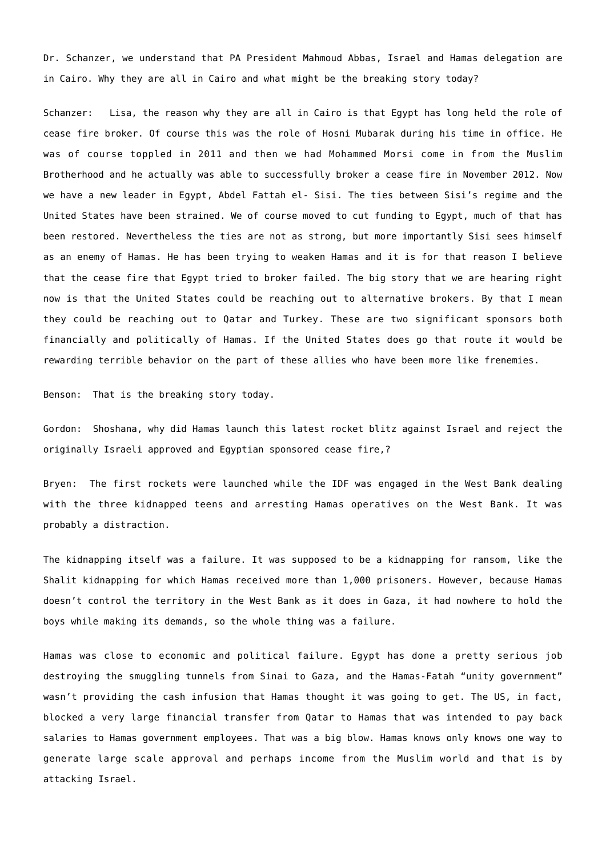Dr. Schanzer, we understand that PA President Mahmoud Abbas, Israel and Hamas delegation are in Cairo. Why they are all in Cairo and what might be the breaking story today?

Schanzer: Lisa, the reason why they are all in Cairo is that Egypt has long held the role of cease fire broker. Of course this was the role of Hosni Mubarak during his time in office. He was of course toppled in 2011 and then we had Mohammed Morsi come in from the Muslim Brotherhood and he actually was able to successfully broker a cease fire in November 2012. Now we have a new leader in Egypt, Abdel Fattah el- Sisi. The ties between Sisi's regime and the United States have been strained. We of course moved to cut funding to Egypt, much of that has been restored. Nevertheless the ties are not as strong, but more importantly Sisi sees himself as an enemy of Hamas. He has been trying to weaken Hamas and it is for that reason I believe that the cease fire that Egypt tried to broker failed. The big story that we are hearing right now is that the United States could be reaching out to alternative brokers. By that I mean they could be reaching out to Qatar and Turkey. These are two significant sponsors both financially and politically of Hamas. If the United States does go that route it would be rewarding terrible behavior on the part of these allies who have been more like frenemies.

Benson: That is the breaking story today.

Gordon: Shoshana, why did Hamas launch this latest rocket blitz against Israel and reject the originally Israeli approved and Egyptian sponsored cease fire,?

Bryen: The first rockets were launched while the IDF was engaged in the West Bank dealing with the three kidnapped teens and arresting Hamas operatives on the West Bank. It was probably a distraction.

The kidnapping itself was a failure. It was supposed to be a kidnapping for ransom, like the Shalit kidnapping for which Hamas received more than 1,000 prisoners. However, because Hamas doesn't control the territory in the West Bank as it does in Gaza, it had nowhere to hold the boys while making its demands, so the whole thing was a failure.

Hamas was close to economic and political failure. Egypt has done a pretty serious job destroying the smuggling tunnels from Sinai to Gaza, and the Hamas-Fatah "unity government" wasn't providing the cash infusion that Hamas thought it was going to get. The US, in fact, blocked a very large financial transfer from Qatar to Hamas that was intended to pay back salaries to Hamas government employees. That was a big blow. Hamas knows only knows one way to generate large scale approval and perhaps income from the Muslim world and that is by attacking Israel.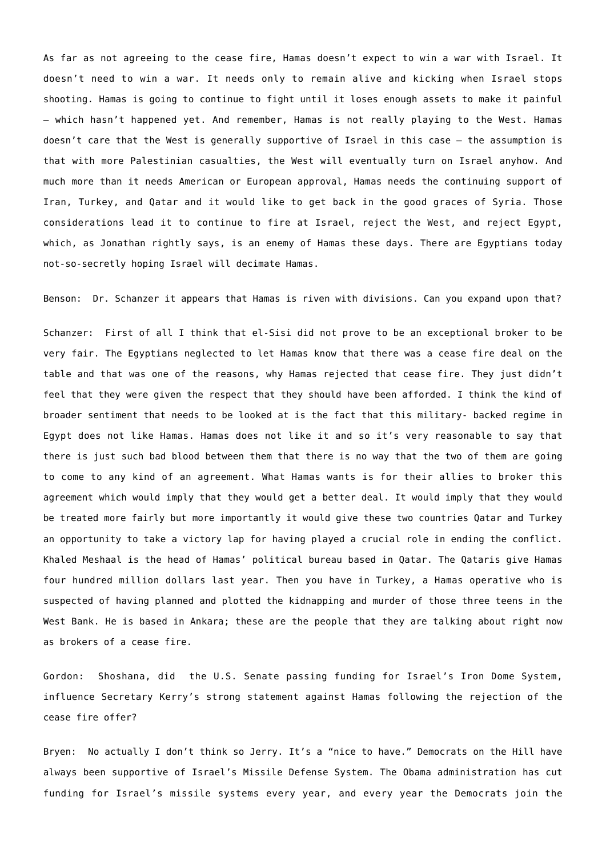As far as not agreeing to the cease fire, Hamas doesn't expect to win a war with Israel. It doesn't need to win a war. It needs only to remain alive and kicking when Israel stops shooting. Hamas is going to continue to fight until it loses enough assets to make it painful – which hasn't happened yet. And remember, Hamas is not really playing to the West. Hamas doesn't care that the West is generally supportive of Israel in this case – the assumption is that with more Palestinian casualties, the West will eventually turn on Israel anyhow. And much more than it needs American or European approval, Hamas needs the continuing support of Iran, Turkey, and Qatar and it would like to get back in the good graces of Syria. Those considerations lead it to continue to fire at Israel, reject the West, and reject Egypt, which, as Jonathan rightly says, is an enemy of Hamas these days. There are Egyptians today not-so-secretly hoping Israel will decimate Hamas.

Benson: Dr. Schanzer it appears that Hamas is riven with divisions. Can you expand upon that?

Schanzer: First of all I think that el-Sisi did not prove to be an exceptional broker to be very fair. The Egyptians neglected to let Hamas know that there was a cease fire deal on the table and that was one of the reasons, why Hamas rejected that cease fire. They just didn't feel that they were given the respect that they should have been afforded. I think the kind of broader sentiment that needs to be looked at is the fact that this military- backed regime in Egypt does not like Hamas. Hamas does not like it and so it's very reasonable to say that there is just such bad blood between them that there is no way that the two of them are going to come to any kind of an agreement. What Hamas wants is for their allies to broker this agreement which would imply that they would get a better deal. It would imply that they would be treated more fairly but more importantly it would give these two countries Qatar and Turkey an opportunity to take a victory lap for having played a crucial role in ending the conflict. Khaled Meshaal is the head of Hamas' political bureau based in Qatar. The Qataris give Hamas four hundred million dollars last year. Then you have in Turkey, a Hamas operative who is suspected of having planned and plotted the kidnapping and murder of those three teens in the West Bank. He is based in Ankara; these are the people that they are talking about right now as brokers of a cease fire.

Gordon: Shoshana, did the U.S. Senate passing funding for Israel's Iron Dome System, influence Secretary Kerry's strong statement against Hamas following the rejection of the cease fire offer?

Bryen: No actually I don't think so Jerry. It's a "nice to have." Democrats on the Hill have always been supportive of Israel's Missile Defense System. The Obama administration has cut funding for Israel's missile systems every year, and every year the Democrats join the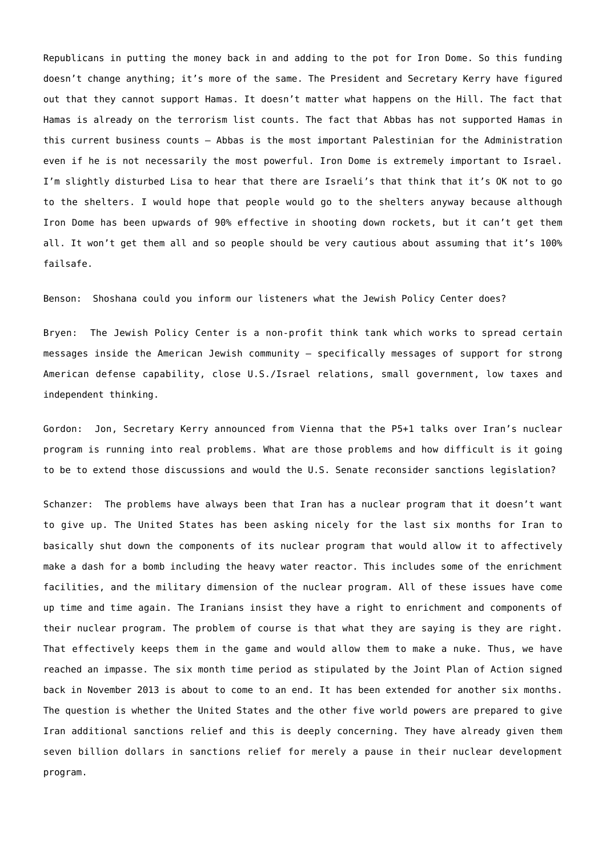Republicans in putting the money back in and adding to the pot for Iron Dome. So this funding doesn't change anything; it's more of the same. The President and Secretary Kerry have figured out that they cannot support Hamas. It doesn't matter what happens on the Hill. The fact that Hamas is already on the terrorism list counts. The fact that Abbas has not supported Hamas in this current business counts – Abbas is the most important Palestinian for the Administration even if he is not necessarily the most powerful. Iron Dome is extremely important to Israel. I'm slightly disturbed Lisa to hear that there are Israeli's that think that it's OK not to go to the shelters. I would hope that people would go to the shelters anyway because although Iron Dome has been upwards of 90% effective in shooting down rockets, but it can't get them all. It won't get them all and so people should be very cautious about assuming that it's 100% failsafe.

Benson: Shoshana could you inform our listeners what the Jewish Policy Center does?

Bryen: The Jewish Policy Center is a non-profit think tank which works to spread certain messages inside the American Jewish community – specifically messages of support for strong American defense capability, close U.S./Israel relations, small government, low taxes and independent thinking.

Gordon: Jon, Secretary Kerry announced from Vienna that the P5+1 talks over Iran's nuclear program is running into real problems. What are those problems and how difficult is it going to be to extend those discussions and would the U.S. Senate reconsider sanctions legislation?

Schanzer: The problems have always been that Iran has a nuclear program that it doesn't want to give up. The United States has been asking nicely for the last six months for Iran to basically shut down the components of its nuclear program that would allow it to affectively make a dash for a bomb including the heavy water reactor. This includes some of the enrichment facilities, and the military dimension of the nuclear program. All of these issues have come up time and time again. The Iranians insist they have a right to enrichment and components of their nuclear program. The problem of course is that what they are saying is they are right. That effectively keeps them in the game and would allow them to make a nuke. Thus, we have reached an impasse. The six month time period as stipulated by the Joint Plan of Action signed back in November 2013 is about to come to an end. It has been extended for another six months. The question is whether the United States and the other five world powers are prepared to give Iran additional sanctions relief and this is deeply concerning. They have already given them seven billion dollars in sanctions relief for merely a pause in their nuclear development program.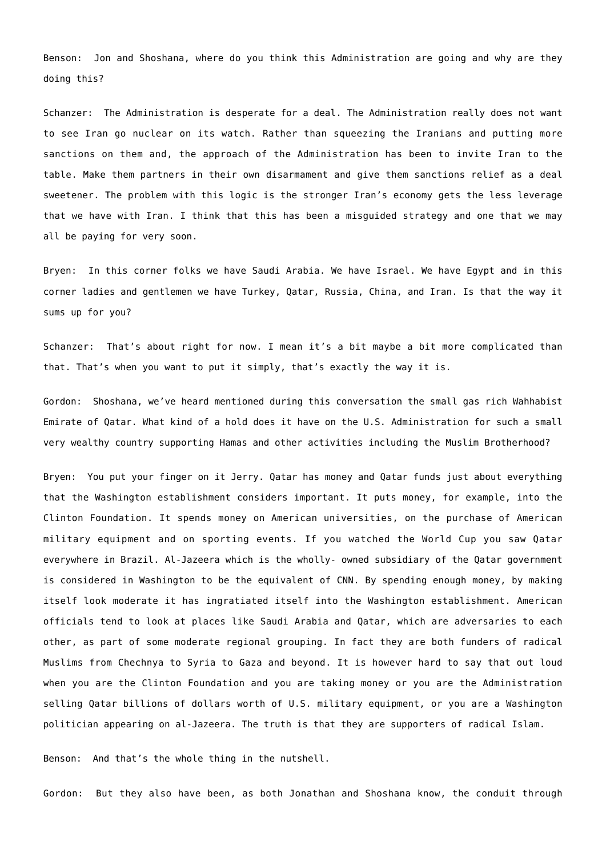Benson: Jon and Shoshana, where do you think this Administration are going and why are they doing this?

Schanzer: The Administration is desperate for a deal. The Administration really does not want to see Iran go nuclear on its watch. Rather than squeezing the Iranians and putting more sanctions on them and, the approach of the Administration has been to invite Iran to the table. Make them partners in their own disarmament and give them sanctions relief as a deal sweetener. The problem with this logic is the stronger Iran's economy gets the less leverage that we have with Iran. I think that this has been a misguided strategy and one that we may all be paying for very soon.

Bryen: In this corner folks we have Saudi Arabia. We have Israel. We have Egypt and in this corner ladies and gentlemen we have Turkey, Qatar, Russia, China, and Iran. Is that the way it sums up for you?

Schanzer: That's about right for now. I mean it's a bit maybe a bit more complicated than that. That's when you want to put it simply, that's exactly the way it is.

Gordon: Shoshana, we've heard mentioned during this conversation the small gas rich Wahhabist Emirate of Qatar. What kind of a hold does it have on the U.S. Administration for such a small very wealthy country supporting Hamas and other activities including the Muslim Brotherhood?

Bryen: You put your finger on it Jerry. Qatar has money and Qatar funds just about everything that the Washington establishment considers important. It puts money, for example, into the Clinton Foundation. It spends money on American universities, on the purchase of American military equipment and on sporting events. If you watched the World Cup you saw Qatar everywhere in Brazil. Al-Jazeera which is the wholly- owned subsidiary of the Qatar government is considered in Washington to be the equivalent of CNN. By spending enough money, by making itself look moderate it has ingratiated itself into the Washington establishment. American officials tend to look at places like Saudi Arabia and Qatar, which are adversaries to each other, as part of some moderate regional grouping. In fact they are both funders of radical Muslims from Chechnya to Syria to Gaza and beyond. It is however hard to say that out loud when you are the Clinton Foundation and you are taking money or you are the Administration selling Qatar billions of dollars worth of U.S. military equipment, or you are a Washington politician appearing on al-Jazeera. The truth is that they are supporters of radical Islam.

Benson: And that's the whole thing in the nutshell.

Gordon: But they also have been, as both Jonathan and Shoshana know, the conduit through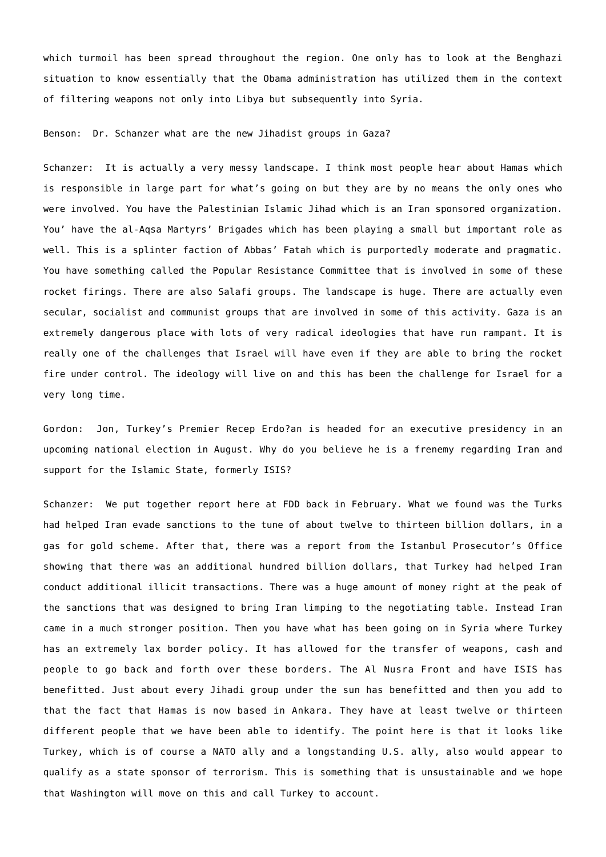which turmoil has been spread throughout the region. One only has to look at the Benghazi situation to know essentially that the Obama administration has utilized them in the context of filtering weapons not only into Libya but subsequently into Syria.

Benson: Dr. Schanzer what are the new Jihadist groups in Gaza?

Schanzer: It is actually a very messy landscape. I think most people hear about Hamas which is responsible in large part for what's going on but they are by no means the only ones who were involved. You have the Palestinian Islamic Jihad which is an Iran sponsored organization. You' have the al-Aqsa Martyrs' Brigades which has been playing a small but important role as well. This is a splinter faction of Abbas' Fatah which is purportedly moderate and pragmatic. You have something called the Popular Resistance Committee that is involved in some of these rocket firings. There are also Salafi groups. The landscape is huge. There are actually even secular, socialist and communist groups that are involved in some of this activity. Gaza is an extremely dangerous place with lots of very radical ideologies that have run rampant. It is really one of the challenges that Israel will have even if they are able to bring the rocket fire under control. The ideology will live on and this has been the challenge for Israel for a very long time.

Gordon: Jon, Turkey's Premier Recep Erdo?an is headed for an executive presidency in an upcoming national election in August. Why do you believe he is a frenemy regarding Iran and support for the Islamic State, formerly ISIS?

Schanzer: We put together report here at FDD back in February. What we found was the Turks had helped Iran evade sanctions to the tune of about twelve to thirteen billion dollars, in a gas for gold scheme. After that, there was a report from the Istanbul Prosecutor's Office showing that there was an additional hundred billion dollars, that Turkey had helped Iran conduct additional illicit transactions. There was a huge amount of money right at the peak of the sanctions that was designed to bring Iran limping to the negotiating table. Instead Iran came in a much stronger position. Then you have what has been going on in Syria where Turkey has an extremely lax border policy. It has allowed for the transfer of weapons, cash and people to go back and forth over these borders. The Al Nusra Front and have ISIS has benefitted. Just about every Jihadi group under the sun has benefitted and then you add to that the fact that Hamas is now based in Ankara. They have at least twelve or thirteen different people that we have been able to identify. The point here is that it looks like Turkey, which is of course a NATO ally and a longstanding U.S. ally, also would appear to qualify as a state sponsor of terrorism. This is something that is unsustainable and we hope that Washington will move on this and call Turkey to account.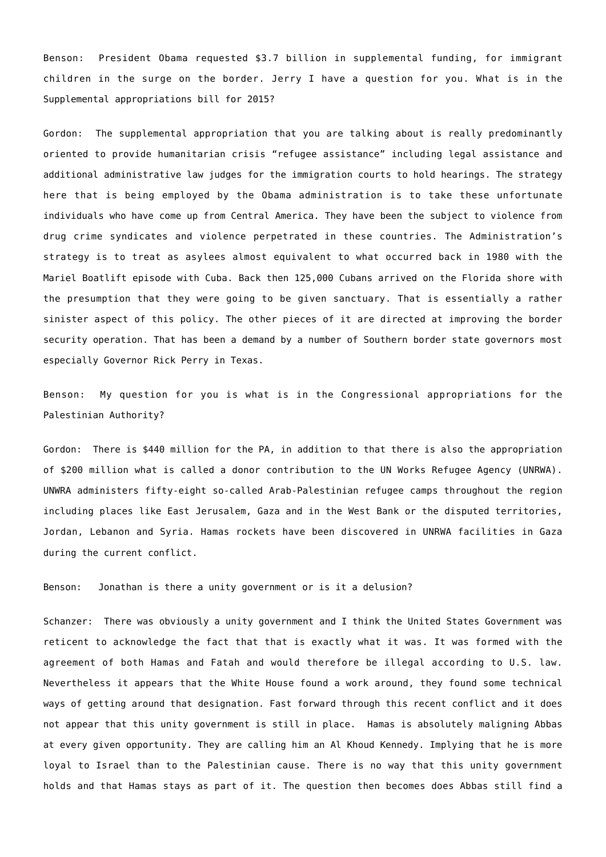Benson: President Obama requested \$3.7 billion in supplemental funding, for immigrant children in the surge on the border. Jerry I have a question for you. What is in the Supplemental appropriations bill for 2015?

Gordon: The supplemental appropriation that you are talking about is really predominantly oriented to provide humanitarian crisis "refugee assistance" including legal assistance and additional administrative law judges for the immigration courts to hold hearings. The strategy here that is being employed by the Obama administration is to take these unfortunate individuals who have come up from Central America. They have been the subject to violence from drug crime syndicates and violence perpetrated in these countries. The Administration's strategy is to treat as asylees almost equivalent to what occurred back in 1980 with the Mariel Boatlift episode with Cuba. Back then 125,000 Cubans arrived on the Florida shore with the presumption that they were going to be given sanctuary. That is essentially a rather sinister aspect of this policy. The other pieces of it are directed at improving the border security operation. That has been a demand by a number of Southern border state governors most especially Governor Rick Perry in Texas.

Benson: My question for you is what is in the Congressional appropriations for the Palestinian Authority?

Gordon: There is \$440 million for the PA, in addition to that there is also the appropriation of \$200 million what is called a donor contribution to the UN Works Refugee Agency (UNRWA). UNWRA administers fifty-eight so-called Arab-Palestinian refugee camps throughout the region including places like East Jerusalem, Gaza and in the West Bank or the disputed territories, Jordan, Lebanon and Syria. Hamas rockets have been discovered in UNRWA facilities in Gaza during the current conflict.

Benson: Jonathan is there a unity government or is it a delusion?

Schanzer: There was obviously a unity government and I think the United States Government was reticent to acknowledge the fact that that is exactly what it was. It was formed with the agreement of both Hamas and Fatah and would therefore be illegal according to U.S. law. Nevertheless it appears that the White House found a work around, they found some technical ways of getting around that designation. Fast forward through this recent conflict and it does not appear that this unity government is still in place. Hamas is absolutely maligning Abbas at every given opportunity. They are calling him an Al Khoud Kennedy. Implying that he is more loyal to Israel than to the Palestinian cause. There is no way that this unity government holds and that Hamas stays as part of it. The question then becomes does Abbas still find a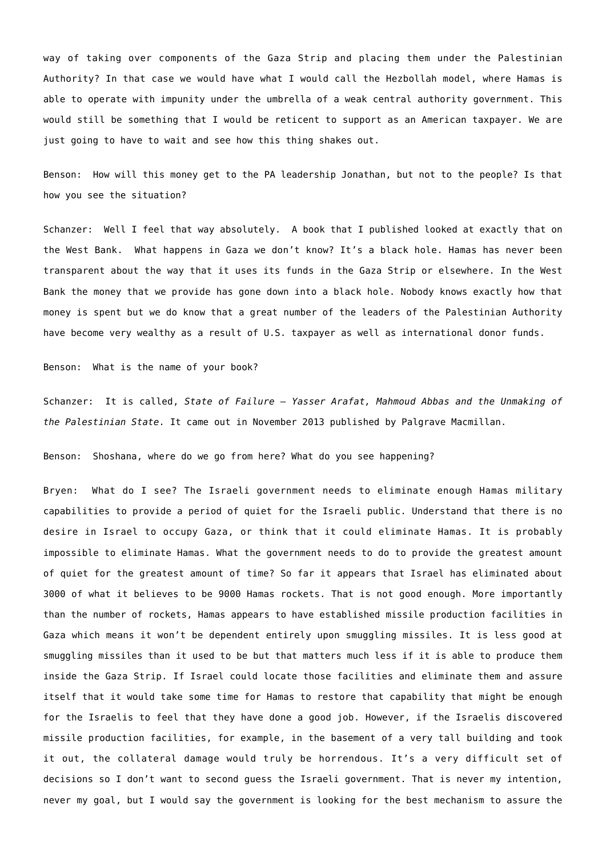way of taking over components of the Gaza Strip and placing them under the Palestinian Authority? In that case we would have what I would call the Hezbollah model, where Hamas is able to operate with impunity under the umbrella of a weak central authority government. This would still be something that I would be reticent to support as an American taxpayer. We are just going to have to wait and see how this thing shakes out.

Benson: How will this money get to the PA leadership Jonathan, but not to the people? Is that how you see the situation?

Schanzer: Well I feel that way absolutely. A book that I published looked at exactly that on the West Bank. What happens in Gaza we don't know? It's a black hole. Hamas has never been transparent about the way that it uses its funds in the Gaza Strip or elsewhere. In the West Bank the money that we provide has gone down into a black hole. Nobody knows exactly how that money is spent but we do know that a great number of the leaders of the Palestinian Authority have become very wealthy as a result of U.S. taxpayer as well as international donor funds.

Benson: What is the name of your book?

Schanzer: It is called, *State of Failure – Yasser Arafat, Mahmoud Abbas and the Unmaking of the Palestinian State*. It came out in November 2013 published by Palgrave Macmillan.

Benson: Shoshana, where do we go from here? What do you see happening?

Bryen: What do I see? The Israeli government needs to eliminate enough Hamas military capabilities to provide a period of quiet for the Israeli public. Understand that there is no desire in Israel to occupy Gaza, or think that it could eliminate Hamas. It is probably impossible to eliminate Hamas. What the government needs to do to provide the greatest amount of quiet for the greatest amount of time? So far it appears that Israel has eliminated about 3000 of what it believes to be 9000 Hamas rockets. That is not good enough. More importantly than the number of rockets, Hamas appears to have established missile production facilities in Gaza which means it won't be dependent entirely upon smuggling missiles. It is less good at smuggling missiles than it used to be but that matters much less if it is able to produce them inside the Gaza Strip. If Israel could locate those facilities and eliminate them and assure itself that it would take some time for Hamas to restore that capability that might be enough for the Israelis to feel that they have done a good job. However, if the Israelis discovered missile production facilities, for example, in the basement of a very tall building and took it out, the collateral damage would truly be horrendous. It's a very difficult set of decisions so I don't want to second guess the Israeli government. That is never my intention, never my goal, but I would say the government is looking for the best mechanism to assure the